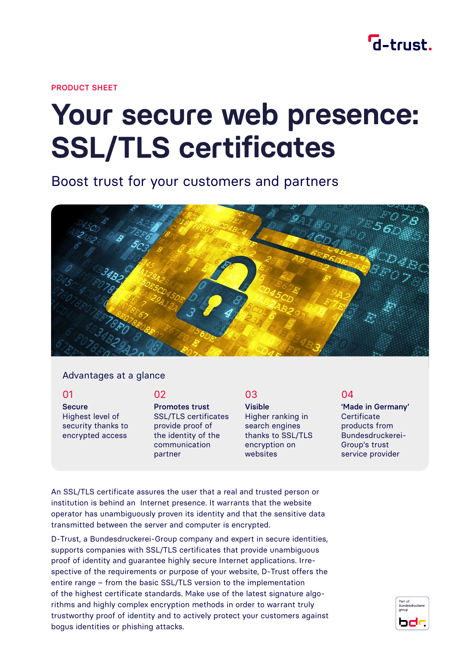

PRODUCT SHEET

# **Your secure web presence: SSL/TLS certificates**

Boost trust for your customers and partners

# Advantages at a glance

01 **Secure** Highest level of security thanks to encrypted access

02

Promotes trust SSL/TLS certificates provide proof of the identity of the communication partner

# 03

Visible Higher ranking in search engines thanks to SSL/TLS encryption on websites

### 04

'Made in Germany' **Certificate** products from Bundesdruckerei-Group's trust service provider

An SSL/TLS certificate assures the user that a real and trusted person or institution is behind an Internet presence. It warrants that the website operator has unambiguously proven its identity and that the sensitive data transmitted between the server and computer is encrypted.

D-Trust, a Bundesdruckerei-Group company and expert in secure identities, supports companies with SSL/TLS certificates that provide unambiguous proof of identity and guarantee highly secure Internet applications. Irrespective of the requirements or purpose of your website, D-Trust offers the entire range – from the basic SSL/TLS version to the implementation of the highest certificate standards. Make use of the latest signature algorithms and highly complex encryption methods in order to warrant truly trustworthy proof of identity and to actively protect your customers against bogus identities or phishing attacks.